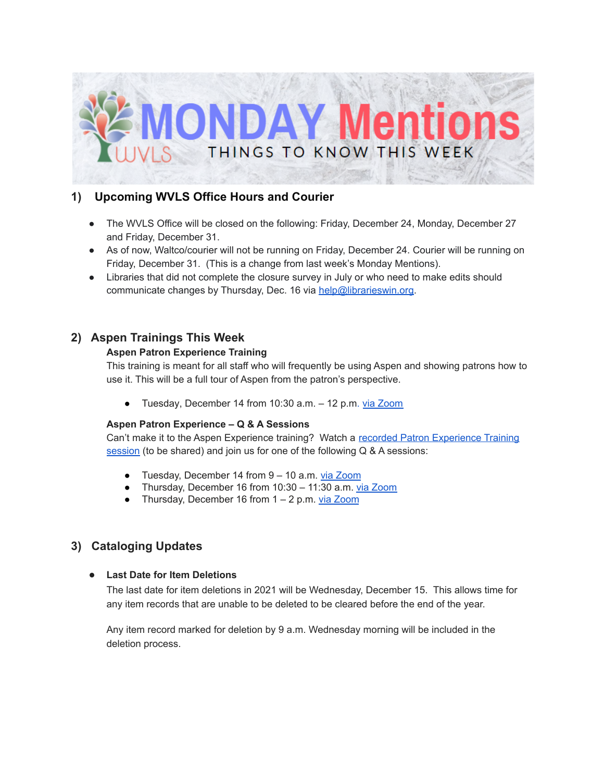

## **1) Upcoming WVLS Office Hours and Courier**

- The WVLS Office will be closed on the following: Friday, December 24, Monday, December 27 and Friday, December 31.
- As of now, Waltco/courier will not be running on Friday, December 24. Courier will be running on Friday, December 31. (This is a change from last week's Monday Mentions).
- Libraries that did not complete the closure survey in July or who need to make edits should communicate changes by Thursday, Dec. 16 via [help@librarieswin.org.](mailto:help@librarieswin.org)

## **2) Aspen Trainings This Week**

### **Aspen Patron Experience Training**

This training is meant for all staff who will frequently be using Aspen and showing patrons how to use it. This will be a full tour of Aspen from the patron's perspective.

Tuesday, [December](https://us02web.zoom.us/j/89172239891?pwd=NUlVV29xdUViUzgwZVgxMUJiUlBBUT09) 14 from 10:30 a.m. - 12 p.m. via Zoom

#### **Aspen Patron Experience – Q & A Sessions**

Can't make it to the Aspen [Experience](https://wvls.org/v-cat-aspen-implementation/) training? Watch a recorded Patron Experience Training [session](https://wvls.org/v-cat-aspen-implementation/) (to be shared) and join us for one of the following Q & A sessions:

- Tuesday, [December](https://us02web.zoom.us/j/87106162480?pwd=L1VZWmNhcytxL3V2UHlqRXJYaGYxQT09) 14 from 9 10 a.m. via Zoom
- Thursday, [December](https://us02web.zoom.us/j/85334535515?pwd=a0J4ZDRoNTJsMjBrMG1mM0hGallFUT09) 16 from 10:30 11:30 a.m. via Zoom
- Thursday, [December](https://us02web.zoom.us/j/82402819739?pwd=SXRoQStBS0cxeEc3OFRjYmdOODQ1QT09) 16 from  $1 2$  p.m. via [Zoom](https://us02web.zoom.us/j/82402819739?pwd=SXRoQStBS0cxeEc3OFRjYmdOODQ1QT09)

# **3) Cataloging Updates**

#### **● Last Date for Item Deletions**

The last date for item deletions in 2021 will be Wednesday, December 15. This allows time for any item records that are unable to be deleted to be cleared before the end of the year.

Any item record marked for deletion by 9 a.m. Wednesday morning will be included in the deletion process.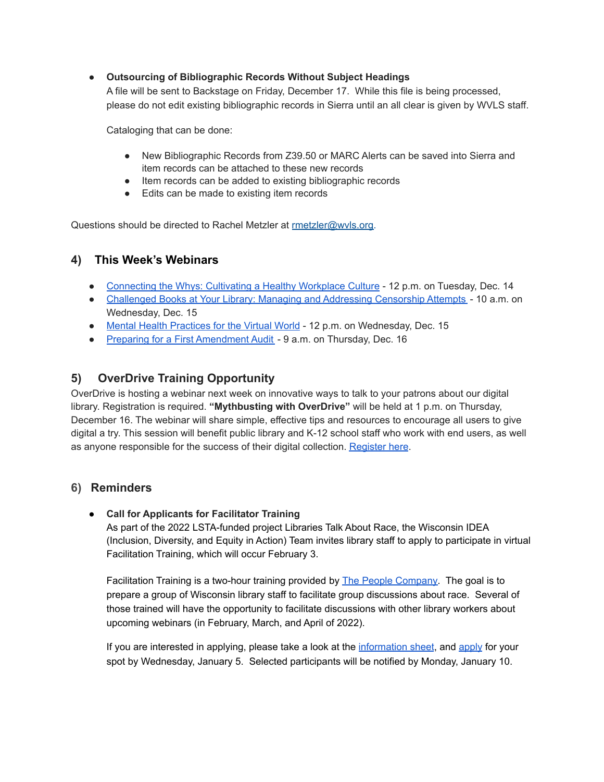#### **● Outsourcing of Bibliographic Records Without Subject Headings**

A file will be sent to Backstage on Friday, December 17. While this file is being processed, please do not edit existing bibliographic records in Sierra until an all clear is given by WVLS staff.

Cataloging that can be done:

- New Bibliographic Records from Z39.50 or MARC Alerts can be saved into Sierra and item records can be attached to these new records
- Item records can be added to existing bibliographic records
- Edits can be made to existing item records

Questions should be directed to Rachel Metzler at [rmetzler@wvls.org.](mailto:rmetzler@wvls.org)

## **4) This Week's Webinars**

- [Connecting](https://www.eventbrite.com/e/business-connecting-the-whys-registration-190687259727) the Whys: Cultivating a Healthy Workplace Culture 12 p.m. on Tuesday, Dec. 14
- [Challenged](https://us02web.zoom.us/webinar/register/WN_8zD-8HMXRUKIDAuD1PF9Hw) Books at Your Library: Managing and Addressing Censorship Attempts 10 a.m. on Wednesday, Dec. 15
- Mental Health [Practices](https://www.eventbrite.com/e/learning-lab-mental-health-practices-for-the-virtual-world-registration-190662746407) for the Virtual World 12 p.m. on Wednesday, Dec. 15
- Preparing for a First [Amendment](https://us02web.zoom.us/webinar/register/WN_FukyfMnaSvGF4lPnZSuVxg?timezone_id=America%2FChicago) Audit 9 a.m. on Thursday, Dec. 16

# **5) OverDrive Training Opportunity**

OverDrive is hosting a webinar next week on innovative ways to talk to your patrons about our digital library. Registration is required. **"Mythbusting with OverDrive"** will be held at 1 p.m. on Thursday, December 16. The webinar will share simple, effective tips and resources to encourage all users to give digital a try. This session will benefit public library and K-12 school staff who work with end users, as well as anyone responsible for the success of their digital collection. [Register](https://overdrive.zoom.us/webinar/register/WN_PK3pnP6dSLm12wS46zMS_w?utm_source=sfmc&utm_medium=email&utm_content=webcast_20211208) here.

### **6) Reminders**

### ● **Call for Applicants for Facilitator Training**

As part of the 2022 LSTA-funded project Libraries Talk About Race, the Wisconsin IDEA (Inclusion, Diversity, and Equity in Action) Team invites library staff to apply to participate in virtual Facilitation Training, which will occur February 3.

Facilitation Training is a two-hour training provided by The People [Company.](https://secure-web.cisco.com/1EaTAf7ZDuUHEtGXk0191fqikqgsRHubxhohVH062CwC4xje_iebnIrUFWepdhdNluUU5-sEEUxgvXqw11oLQKqtdmxA1XhmMT90t9ru6BIljpVhl5MPDDt6g8em-mgjf84IqBf7mfyVZ2U1JBQxT42GB-qbvLJ7itXNQLe1Pim4_MKXNx5xxhzGGGGk-fRMyWpdWsD41PXAXqs247sne2Rlk8Vxai18FVQwHywLNrWbudObt1TkDw8t5G1AhY9SL_51ox8nOyrsqe2LFGKRDr_D_eBquajJskDERpoAefN60WupHJVyoYqbmXEYtaWOh/https%3A%2F%2Fppl-co.com%2F) The goal is to prepare a group of Wisconsin library staff to facilitate group discussions about race. Several of those trained will have the opportunity to facilitate discussions with other library workers about upcoming webinars (in February, March, and April of 2022).

If you are interested in applying, please take a look at the [information](https://docs.google.com/document/d/1QDFjWrkkqMuhb38XDg3Wngb2nTMWaGwP9oAto8N8fBY/edit) sheet, and [apply](https://docs.google.com/forms/d/e/1FAIpQLSfRtkPnYDz_LS0gwcVNYnJZ5DlTJyOvYoZwfY5YQ-6r4keb7A/viewform) for your spot by Wednesday, January 5. Selected participants will be notified by Monday, January 10.